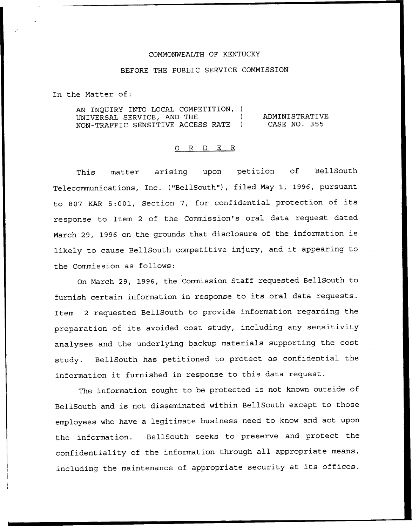## COMMONWEALTH OF KENTUCKY

## BEFORE THE PUBLIC SERVICE COMMISSION

In the Matter of:

AN INQUIRY INTO LOCAL COMPETITION, ) UNIVERSAL SERVICE, AND THE ) NON-TRAFFIC SENSITIVE ACCESS RATE ) ADMINISTRATIVE CASE NO. 355

## 0 R <sup>D</sup> E R

This matter arising upon petition of BellSouth Telecommunications, Inc. ("BellSouth"), filed May 1, 1996, pursuant to <sup>807</sup> KAR 5:001, Section 7, for confidential protection of its response to Item <sup>2</sup> of the Commission's oral data request dated March 29, <sup>1996</sup> on the grounds that disclosure of the information is likely to cause BellSouth competitive injury, and it appearing to the Commission as follows:

On March 29, 1996, the Commission Staff requested BellSouth to furnish certain information in response to its oral data requests. Item <sup>2</sup> requested BellSouth to provide information regarding the preparation of its avoided cost study, including any sensitivity analyses and the underlying backup materials supporting the cost study. BellSouth has petitioned to protect as confidential the information it furnished in response to this data request.

The information sought to be protected is not known outside of BellSouth and is not disseminated within BellSouth except to those employees who have <sup>a</sup> legitimate business need to know and act upon the information. BellSouth seeks to preserve and protect the confidentiality of the information through all appropriate means, including the maintenance of appropriate security at its offices.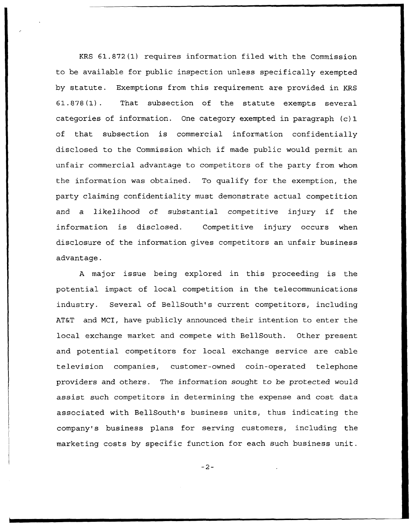KRS 61.872(1) requires information filed with the Commission to be available for public inspection unless specifically exempted by statute. Exemptions from this requirement are provided in KRS 61.878(1). That subsection of the statute exempts several categories of information. One category exempted in paragraph (c) 1 of that subsection is commercial information confidentially disclosed to the Commission which if made public would permit an unfair commercial advantage to competitors of the party from whom the information was obtained. To qualify for the exemption, the party claiming confidentiality must demonstrate actual competition and <sup>a</sup> likelihood of substantial competitive injury if the information is disclosed. Competitive injury occurs when disclosure of the information gives competitors an unfair business advantage.

<sup>A</sup> major issue being explored in this proceeding is the potential impact of local competition in the telecommunications industry. Several of BellSouth's current competitors, including AT&T and NCI, have publicly announced their intention to enter the local exchange market and compete with BellSouth. Other present and potential competitors for local exchange service are cable television companies, customer-owned coin-operated telephone providers and others. The information sought to be protected would assist such competitors in determining the expense and cost data associated with BellSouth's business units, thus indicating the company's business plans for serving customers, including the marketing costs by specific function for each such business unit.

 $-2-$